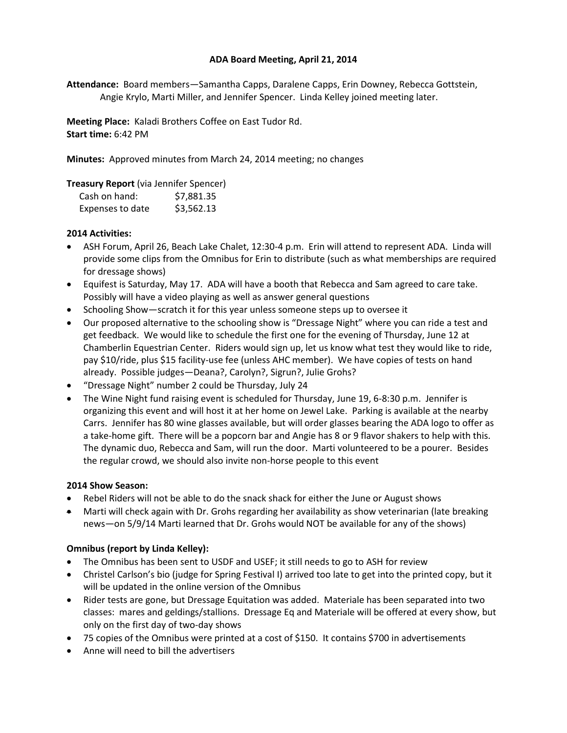# **ADA Board Meeting, April 21, 2014**

**Attendance:** Board members—Samantha Capps, Daralene Capps, Erin Downey, Rebecca Gottstein, Angie Krylo, Marti Miller, and Jennifer Spencer. Linda Kelley joined meeting later.

**Meeting Place:** Kaladi Brothers Coffee on East Tudor Rd. **Start time:** 6:42 PM

**Minutes:** Approved minutes from March 24, 2014 meeting; no changes

# **Treasury Report** (via Jennifer Spencer)

| Cash on hand:    | \$7,881.35 |
|------------------|------------|
| Expenses to date | \$3,562.13 |

# **2014 Activities:**

- ASH Forum, April 26, Beach Lake Chalet, 12:30-4 p.m. Erin will attend to represent ADA. Linda will provide some clips from the Omnibus for Erin to distribute (such as what memberships are required for dressage shows)
- Equifest is Saturday, May 17. ADA will have a booth that Rebecca and Sam agreed to care take. Possibly will have a video playing as well as answer general questions
- Schooling Show—scratch it for this year unless someone steps up to oversee it
- Our proposed alternative to the schooling show is "Dressage Night" where you can ride a test and get feedback. We would like to schedule the first one for the evening of Thursday, June 12 at Chamberlin Equestrian Center. Riders would sign up, let us know what test they would like to ride, pay \$10/ride, plus \$15 facility-use fee (unless AHC member). We have copies of tests on hand already. Possible judges—Deana?, Carolyn?, Sigrun?, Julie Grohs?
- "Dressage Night" number 2 could be Thursday, July 24
- The Wine Night fund raising event is scheduled for Thursday, June 19, 6-8:30 p.m. Jennifer is organizing this event and will host it at her home on Jewel Lake. Parking is available at the nearby Carrs. Jennifer has 80 wine glasses available, but will order glasses bearing the ADA logo to offer as a take-home gift. There will be a popcorn bar and Angie has 8 or 9 flavor shakers to help with this. The dynamic duo, Rebecca and Sam, will run the door. Marti volunteered to be a pourer. Besides the regular crowd, we should also invite non-horse people to this event

#### **2014 Show Season:**

- Rebel Riders will not be able to do the snack shack for either the June or August shows
- Marti will check again with Dr. Grohs regarding her availability as show veterinarian (late breaking news—on 5/9/14 Marti learned that Dr. Grohs would NOT be available for any of the shows)

# **Omnibus (report by Linda Kelley):**

- The Omnibus has been sent to USDF and USEF; it still needs to go to ASH for review
- Christel Carlson's bio (judge for Spring Festival I) arrived too late to get into the printed copy, but it will be updated in the online version of the Omnibus
- Rider tests are gone, but Dressage Equitation was added. Materiale has been separated into two classes: mares and geldings/stallions. Dressage Eq and Materiale will be offered at every show, but only on the first day of two-day shows
- 75 copies of the Omnibus were printed at a cost of \$150. It contains \$700 in advertisements
- Anne will need to bill the advertisers